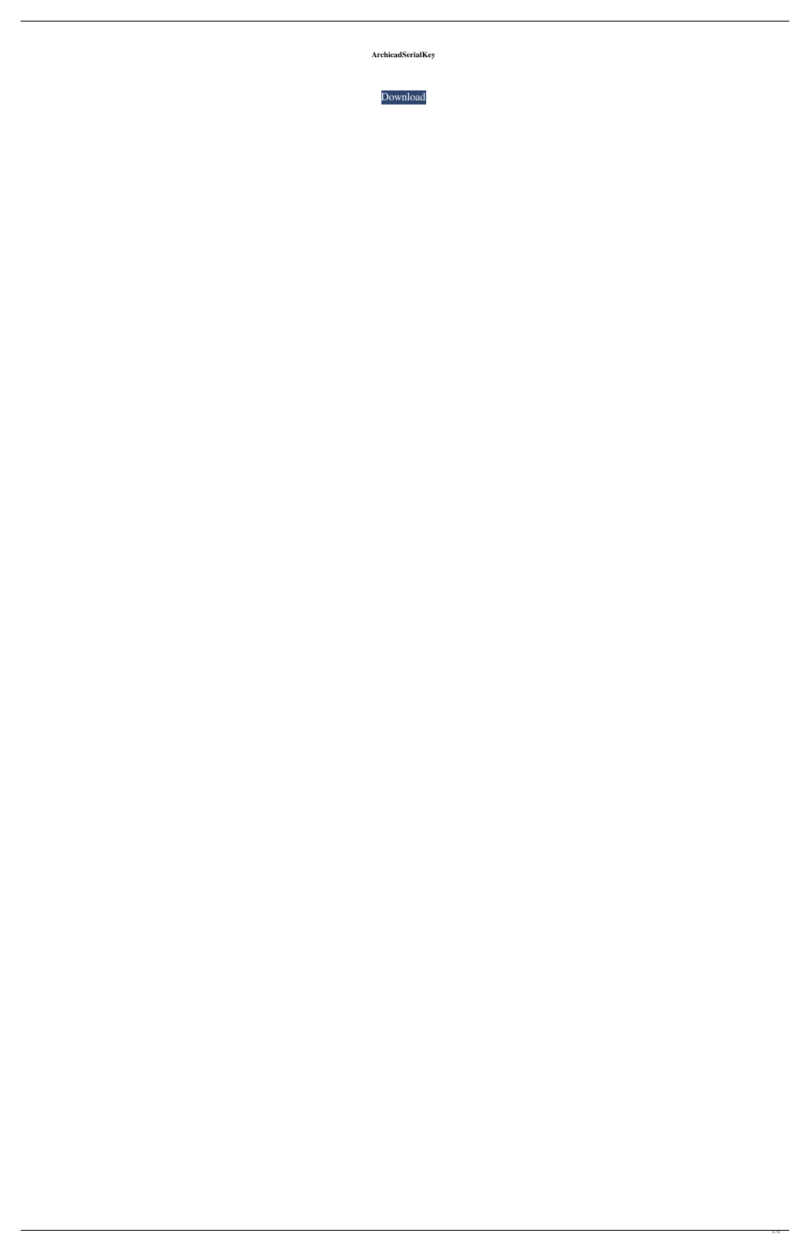**ArchicadSerialKey**